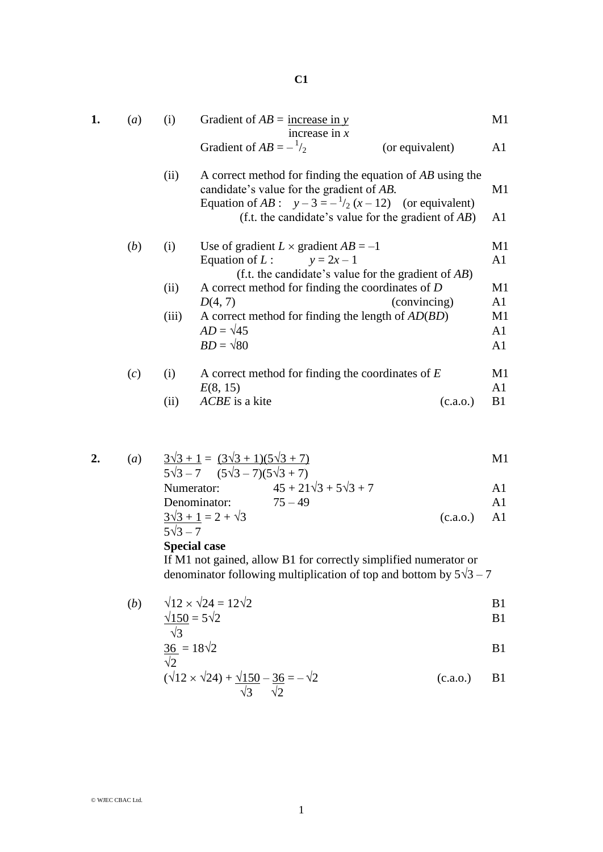| 1. | (a) | (i)   | Gradient of $AB$ = increase in y                                                                                                                                    | M1             |
|----|-----|-------|---------------------------------------------------------------------------------------------------------------------------------------------------------------------|----------------|
|    |     |       | increase in $x$<br>Gradient of $AB = -\frac{1}{2}$<br>(or equivalent)                                                                                               | A1             |
|    |     | (ii)  | A correct method for finding the equation of AB using the<br>candidate's value for the gradient of AB.<br>Equation of AB : $y-3=-\frac{1}{2}(x-12)$ (or equivalent) | M <sub>1</sub> |
|    |     |       | (f.t. the candidate's value for the gradient of $AB$ )                                                                                                              | A1             |
|    | (b) | (i)   | Use of gradient $L \times$ gradient $AB = -1$                                                                                                                       | M <sub>1</sub> |
|    |     |       | Equation of L: $y = 2x - 1$<br>(f.t. the candidate's value for the gradient of $AB$ )                                                                               | A1             |
|    |     | (ii)  | A correct method for finding the coordinates of D                                                                                                                   | M1             |
|    |     |       | D(4, 7)<br>(convincing)                                                                                                                                             | A1             |
|    |     | (iii) | A correct method for finding the length of $AD(BD)$                                                                                                                 | M <sub>1</sub> |
|    |     |       | $AD = \sqrt{45}$                                                                                                                                                    | A1             |
|    |     |       | $BD = \sqrt{80}$                                                                                                                                                    | A1             |
|    | (c) | (i)   | A correct method for finding the coordinates of $E$                                                                                                                 | M1             |
|    |     |       | E(8, 15)                                                                                                                                                            | A1             |
|    |     | (ii)  | ACBE is a kite<br>(c.a.0.)                                                                                                                                          | B1             |

2. (a) 
$$
\frac{3\sqrt{3} + 1}{5\sqrt{3} - 7} = \frac{(3\sqrt{3} + 1)(5\sqrt{3} + 7)}{(5\sqrt{3} - 7)(5\sqrt{3} + 7)}
$$
  
\nNumerator: 
$$
45 + 21\sqrt{3} + 5\sqrt{3} + 7
$$
  
\nDenominator: 
$$
75 - 49
$$

$$
\frac{3\sqrt{3}+1}{5\sqrt{3}-7} = 2 + \sqrt{3}
$$
 (c.a.o.) A1

**Special case**

If M1 not gained, allow B1 for correctly simplified numerator or denominator following multiplication of top and bottom by  $5\sqrt{3} - 7$ 

(b) 
$$
\sqrt{12} \times \sqrt{24} = 12\sqrt{2}
$$
  
\n $\frac{\sqrt{150}}{\sqrt{3}} = 5\sqrt{2}$   
\nB1

$$
\frac{36}{\sqrt{2}} = 18\sqrt{2}
$$
 B1

$$
(\sqrt{12} \times \sqrt{24}) + \frac{\sqrt{150}}{\sqrt{3}} - \frac{36}{\sqrt{2}} = -\sqrt{2}
$$
 (c.a.o.) B1

**C1**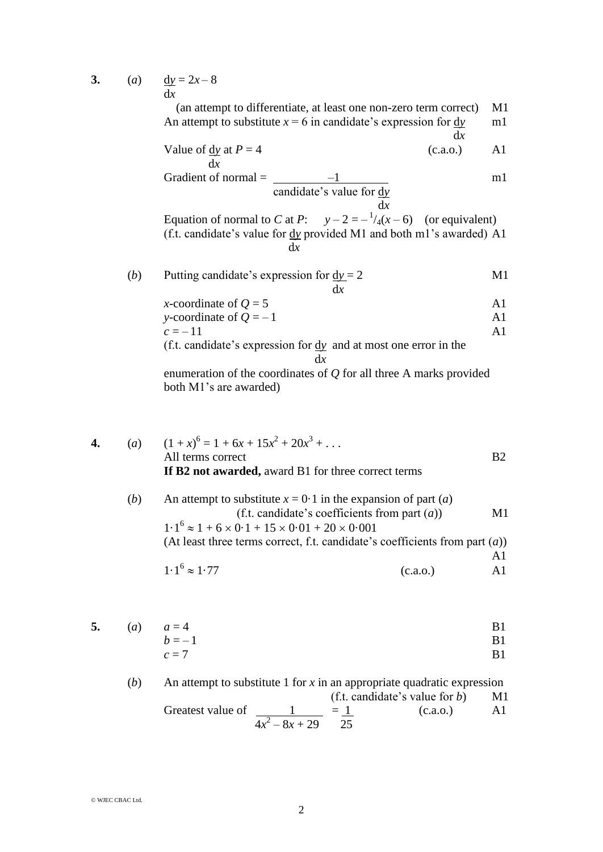**3.** (*a*)  $\frac{dy}{dx} = 2x - 8$ d*x*

> (an attempt to differentiate, at least one non-zero term correct) M1 An attempt to substitute  $x = 6$  in candidate's expression for  $\frac{dy}{dx}$  m1 d*x*

Value of 
$$
\frac{dy}{dx}
$$
 at  $P = 4$  (c.a.o.) A1

Gradient of normal = 
$$
\frac{-1}{\text{candidate's value for } \frac{dy}{dx}}
$$

 d*x* Equation of normal to *C* at *P*:  $y - 2 = -\frac{1}{4}(x - 6)$  (or equivalent) (f.t. candidate's value for d*y* provided M1 and both m1's awarded) A1 d*x*

| (b) | Putting candidate's expression for $dy = 2$ | M1 |
|-----|---------------------------------------------|----|
|     |                                             |    |

| x-coordinate of $Q = 5$  |  |
|--------------------------|--|
| y-coordinate of $Q = -1$ |  |
| $c = -11$                |  |

(f.t. candidate's expression for d*y* and at most one error in the d*x*

enumeration of the coordinates of *Q* for all three A marks provided both M1's are awarded)

4. (a) 
$$
(1+x)^6 = 1 + 6x + 15x^2 + 20x^3 + ...
$$
  
All terms correct  
\nIf B2 not awarded, award B1 for three correct terms  
\n(b) An attempt to substitute  $x = 0.1$  in the expansion of part (a)  
\n(f.t. candidate's coefficients from part (a))  
\n $1 \cdot 1^6 \approx 1 + 6 \times 0 \cdot 1 + 15 \times 0 \cdot 01 + 20 \times 0 \cdot 001$   
\n(At least three terms correct, f.t. candidate's coefficients from part (a))  
\nA1  
\n $1 \cdot 1^6 \approx 1.77$  (c.a.o.)

5. (a) 
$$
a = 4
$$
 B1  
  $b = -1$  B1

$$
c = 7
$$

(b) An attempt to substitute 1 for x in an appropriate quadratic expression  
\n
$$
(f.t. candidate's value for b) \t M1
$$
\nGreatest value of  $\frac{1}{4x^2 - 8x + 29} = \frac{1}{25}$  (c.a.o.) A1

© WJEC CBAC Ltd.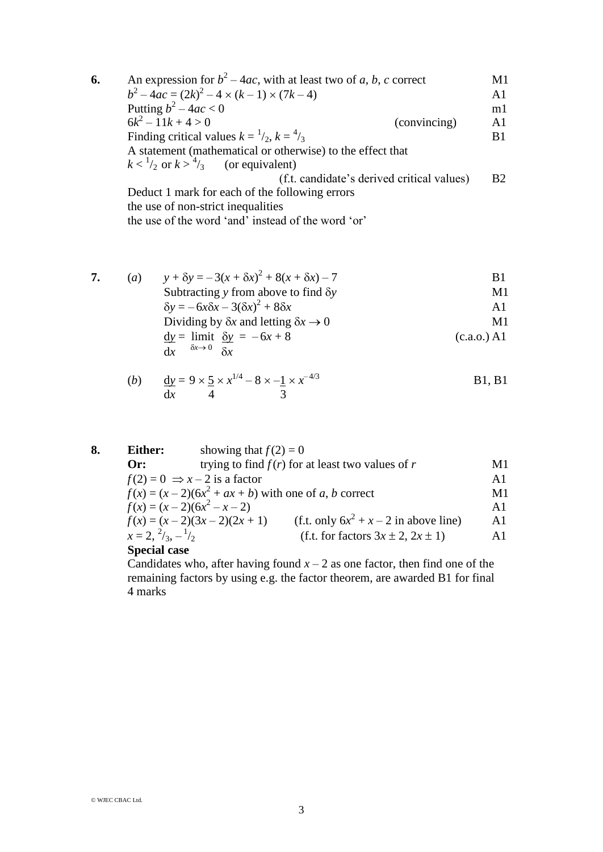| 6. | An expression for $b^2 - 4ac$ , with at least two of a, b, c correct | M1             |
|----|----------------------------------------------------------------------|----------------|
|    | $b^2-4ac = (2k)^2 - 4 \times (k-1) \times (7k-4)$                    | A <sub>1</sub> |
|    | Putting $b^2 - 4ac < 0$                                              | m <sub>1</sub> |
|    | $6k^2 - 11k + 4 > 0$<br>(convincing)                                 | A <sub>1</sub> |
|    | Finding critical values $k = \frac{1}{2}$ , $k = \frac{4}{3}$        | B <sub>1</sub> |
|    | A statement (mathematical or otherwise) to the effect that           |                |
|    | $k < \frac{1}{2}$ or $k > \frac{4}{3}$ (or equivalent)               |                |
|    | (f.t. candidate's derived critical values)                           | <b>B2</b>      |
|    | Deduct 1 mark for each of the following errors                       |                |
|    | the use of non-strict inequalities                                   |                |
|    | the use of the word 'and' instead of the word 'or'                   |                |

7. (a) 
$$
y + \delta y = -3(x + \delta x)^2 + 8(x + \delta x) - 7
$$
  
\nSubtracting y from above to find  $\delta y$   
\n $\delta y = -6x\delta x - 3(\delta x)^2 + 8\delta x$   
\nDividing by  $\delta x$  and letting  $\delta x \rightarrow 0$   
\n $\underline{dy} = \lim_{\delta x \to 0} \frac{\delta y}{\delta x} = -6x + 8$   
\n $\underline{dy} = \lim_{\delta x \to 0} \frac{\delta y}{\delta x}$  (c.a.o.) A1

(b) 
$$
\frac{dy}{dx} = 9 \times \frac{5}{4} \times x^{1/4} - 8 \times \frac{1}{3} \times x^{-4/3}
$$
 B1, B1

| 8. | Either:                            | showing that $f(2) = 0$                  |                                                        |                |
|----|------------------------------------|------------------------------------------|--------------------------------------------------------|----------------|
|    | $Or$ :                             |                                          | trying to find $f(r)$ for at least two values of r     | M1             |
|    |                                    | $f(2) = 0 \Rightarrow x - 2$ is a factor |                                                        | A <sub>1</sub> |
|    |                                    |                                          | $f(x) = (x-2)(6x^2 + ax + b)$ with one of a, b correct | M1             |
|    |                                    | $f(x) = (x-2)(6x^2-x-2)$                 |                                                        | A <sub>1</sub> |
|    |                                    | $f(x) = (x-2)(3x-2)(2x+1)$               | (f.t. only $6x^2 + x - 2$ in above line)               | A <sub>1</sub> |
|    | $x = 2, \frac{2}{3}, -\frac{1}{2}$ |                                          | (f.t. for factors $3x \pm 2$ , $2x \pm 1$ )            | A1             |
|    | $Consider$                         |                                          |                                                        |                |

## **Special case**

Candidates who, after having found  $x - 2$  as one factor, then find one of the remaining factors by using e.g. the factor theorem, are awarded B1 for final 4 marks

© WJEC CBAC Ltd.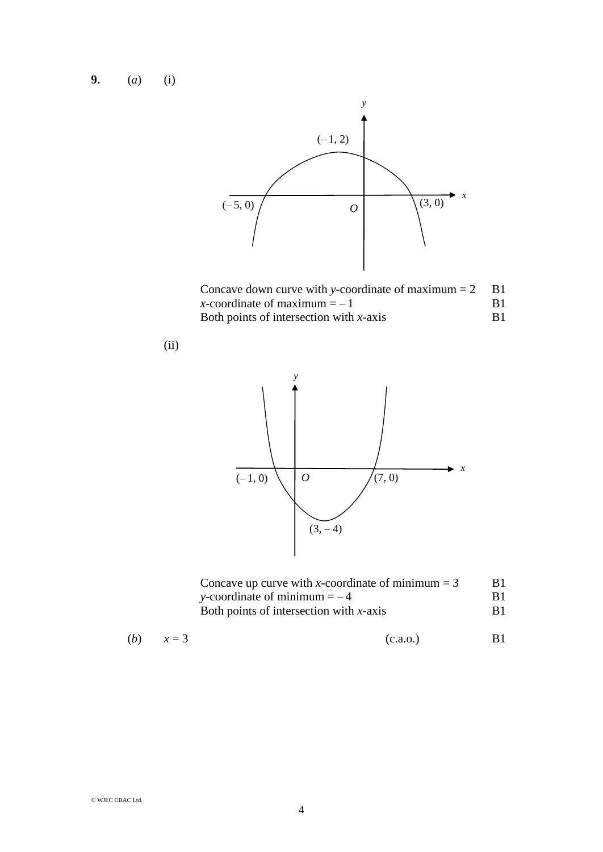**9.** (*a*) (i)

(ii)





| Concave up curve with x-coordinate of minimum $=$ 3 | B1.            |
|-----------------------------------------------------|----------------|
| y-coordinate of minimum $=-4$                       | B <sub>1</sub> |
| Both points of intersection with $x$ -axis          | B <sub>1</sub> |

(b) 
$$
x = 3
$$
 (c.a.o.) B1